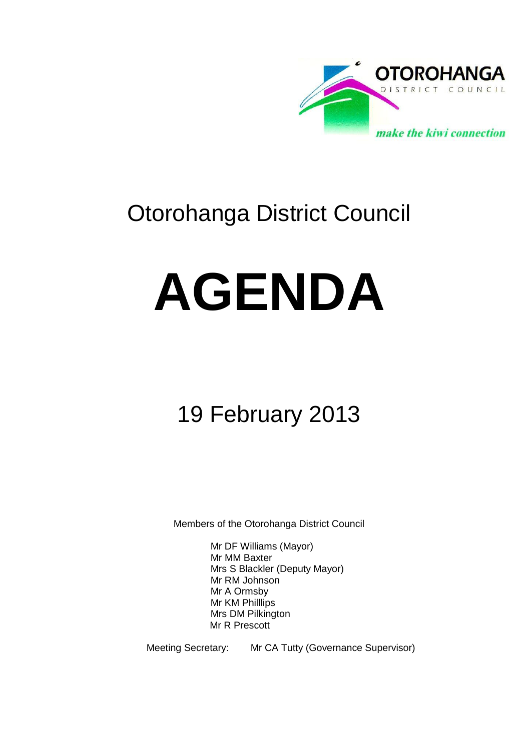

# Otorohanga District Council

# **AGENDA**

# 19 February 2013

Members of the Otorohanga District Council

Mr DF Williams (Mayor) Mr MM Baxter Mrs S Blackler (Deputy Mayor) Mr RM Johnson Mr A Ormsby Mr KM Philllips Mrs DM Pilkington Mr R Prescott

Meeting Secretary: Mr CA Tutty (Governance Supervisor)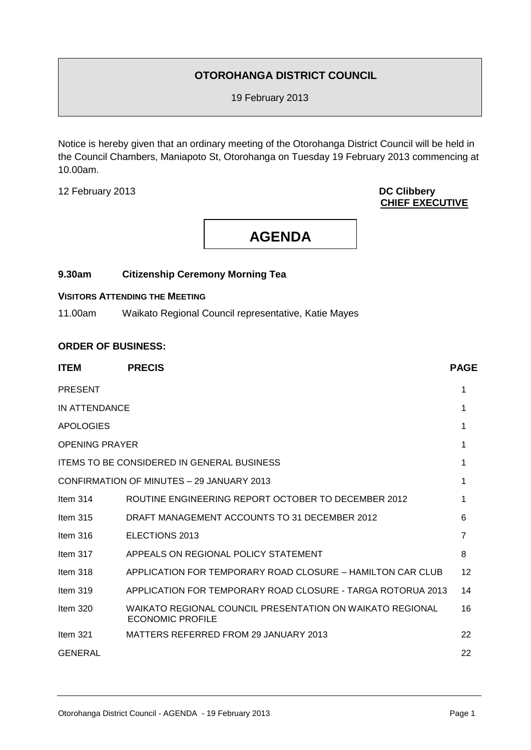#### **OTOROHANGA DISTRICT COUNCIL**

19 February 2013

Notice is hereby given that an ordinary meeting of the Otorohanga District Council will be held in the Council Chambers, Maniapoto St, Otorohanga on Tuesday 19 February 2013 commencing at 10.00am.

12 February 2013 **DC Clibbery**

## **CHIEF EXECUTIVE**

## **AGENDA**

#### **9.30am Citizenship Ceremony Morning Tea**

#### **VISITORS ATTENDING THE MEETING**

11.00am Waikato Regional Council representative, Katie Mayes

#### **ORDER OF BUSINESS:**

| <b>ITEM</b>                                       | <b>PRECIS</b>                                                                        | <b>PAGE</b>    |
|---------------------------------------------------|--------------------------------------------------------------------------------------|----------------|
| <b>PRESENT</b>                                    |                                                                                      | 1              |
| IN ATTENDANCE                                     |                                                                                      |                |
| <b>APOLOGIES</b>                                  |                                                                                      |                |
| <b>OPENING PRAYER</b>                             |                                                                                      |                |
| <b>ITEMS TO BE CONSIDERED IN GENERAL BUSINESS</b> |                                                                                      |                |
| CONFIRMATION OF MINUTES - 29 JANUARY 2013         |                                                                                      |                |
| Item $314$                                        | ROUTINE ENGINEERING REPORT OCTOBER TO DECEMBER 2012                                  |                |
| Item $315$                                        | DRAFT MANAGEMENT ACCOUNTS TO 31 DECEMBER 2012                                        | 6              |
| Item $316$                                        | ELECTIONS 2013                                                                       | $\overline{7}$ |
| Item $317$                                        | APPEALS ON REGIONAL POLICY STATEMENT                                                 | 8              |
| Item 318                                          | APPLICATION FOR TEMPORARY ROAD CLOSURE – HAMILTON CAR CLUB                           | 12             |
| Item $319$                                        | APPLICATION FOR TEMPORARY ROAD CLOSURE - TARGA ROTORUA 2013                          | 14             |
| Item 320                                          | WAIKATO REGIONAL COUNCIL PRESENTATION ON WAIKATO REGIONAL<br><b>ECONOMIC PROFILE</b> | 16             |
| Item $321$                                        | MATTERS REFERRED FROM 29 JANUARY 2013                                                | 22             |
| <b>GENERAL</b>                                    |                                                                                      | 22             |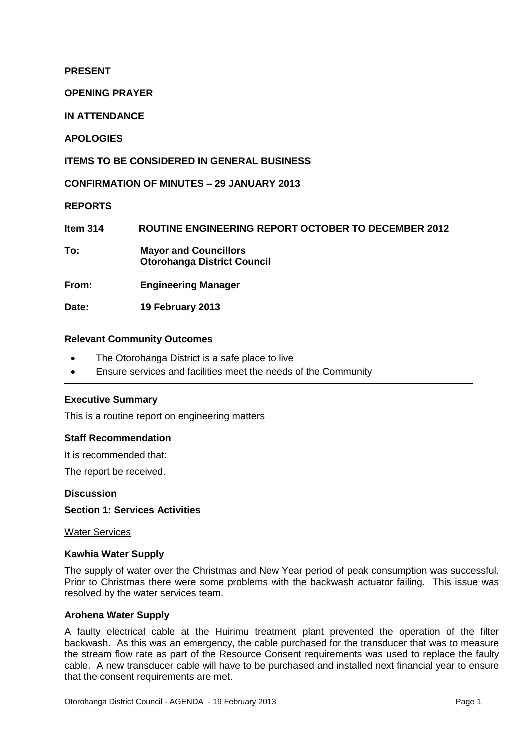#### **PRESENT**

**OPENING PRAYER**

**IN ATTENDANCE**

**APOLOGIES**

**ITEMS TO BE CONSIDERED IN GENERAL BUSINESS**

**CONFIRMATION OF MINUTES – 29 JANUARY 2013**

**REPORTS**

**Item 314 ROUTINE ENGINEERING REPORT OCTOBER TO DECEMBER 2012**

**To: Mayor and Councillors Otorohanga District Council**

**From: Engineering Manager**

**Date: 19 February 2013**

#### **Relevant Community Outcomes**

- The Otorohanga District is a safe place to live
- Ensure services and facilities meet the needs of the Community

#### **Executive Summary**

This is a routine report on engineering matters

#### **Staff Recommendation**

It is recommended that:

The report be received.

#### **Discussion**

#### **Section 1: Services Activities**

Water Services

#### **Kawhia Water Supply**

The supply of water over the Christmas and New Year period of peak consumption was successful. Prior to Christmas there were some problems with the backwash actuator failing. This issue was resolved by the water services team.

#### **Arohena Water Supply**

A faulty electrical cable at the Huirimu treatment plant prevented the operation of the filter backwash. As this was an emergency, the cable purchased for the transducer that was to measure the stream flow rate as part of the Resource Consent requirements was used to replace the faulty cable. A new transducer cable will have to be purchased and installed next financial year to ensure that the consent requirements are met.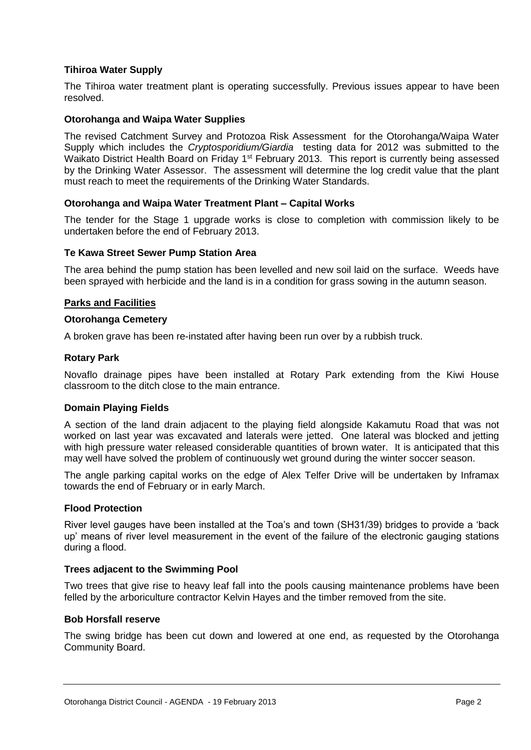#### **Tihiroa Water Supply**

The Tihiroa water treatment plant is operating successfully. Previous issues appear to have been resolved.

#### **Otorohanga and Waipa Water Supplies**

The revised Catchment Survey and Protozoa Risk Assessment for the Otorohanga/Waipa Water Supply which includes the *Cryptosporidium/Giardia* testing data for 2012 was submitted to the Waikato District Health Board on Friday 1<sup>st</sup> February 2013. This report is currently being assessed by the Drinking Water Assessor. The assessment will determine the log credit value that the plant must reach to meet the requirements of the Drinking Water Standards.

#### **Otorohanga and Waipa Water Treatment Plant – Capital Works**

The tender for the Stage 1 upgrade works is close to completion with commission likely to be undertaken before the end of February 2013.

#### **Te Kawa Street Sewer Pump Station Area**

The area behind the pump station has been levelled and new soil laid on the surface. Weeds have been sprayed with herbicide and the land is in a condition for grass sowing in the autumn season.

#### **Parks and Facilities**

#### **Otorohanga Cemetery**

A broken grave has been re-instated after having been run over by a rubbish truck.

#### **Rotary Park**

Novaflo drainage pipes have been installed at Rotary Park extending from the Kiwi House classroom to the ditch close to the main entrance.

#### **Domain Playing Fields**

A section of the land drain adjacent to the playing field alongside Kakamutu Road that was not worked on last year was excavated and laterals were jetted. One lateral was blocked and jetting with high pressure water released considerable quantities of brown water. It is anticipated that this may well have solved the problem of continuously wet ground during the winter soccer season.

The angle parking capital works on the edge of Alex Telfer Drive will be undertaken by Inframax towards the end of February or in early March.

#### **Flood Protection**

River level gauges have been installed at the Toa's and town (SH31/39) bridges to provide a 'back up' means of river level measurement in the event of the failure of the electronic gauging stations during a flood.

#### **Trees adjacent to the Swimming Pool**

Two trees that give rise to heavy leaf fall into the pools causing maintenance problems have been felled by the arboriculture contractor Kelvin Hayes and the timber removed from the site.

#### **Bob Horsfall reserve**

The swing bridge has been cut down and lowered at one end, as requested by the Otorohanga Community Board.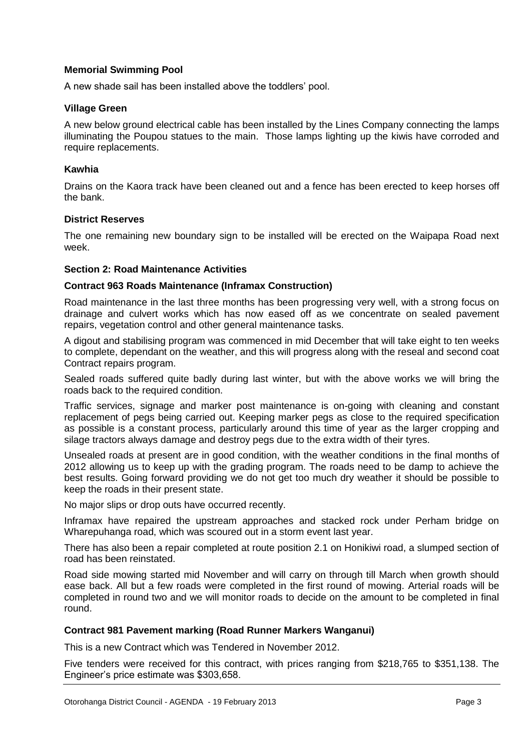#### **Memorial Swimming Pool**

A new shade sail has been installed above the toddlers' pool.

#### **Village Green**

A new below ground electrical cable has been installed by the Lines Company connecting the lamps illuminating the Poupou statues to the main. Those lamps lighting up the kiwis have corroded and require replacements.

#### **Kawhia**

Drains on the Kaora track have been cleaned out and a fence has been erected to keep horses off the bank.

#### **District Reserves**

The one remaining new boundary sign to be installed will be erected on the Waipapa Road next week.

#### **Section 2: Road Maintenance Activities**

#### **Contract 963 Roads Maintenance (Inframax Construction)**

Road maintenance in the last three months has been progressing very well, with a strong focus on drainage and culvert works which has now eased off as we concentrate on sealed pavement repairs, vegetation control and other general maintenance tasks.

A digout and stabilising program was commenced in mid December that will take eight to ten weeks to complete, dependant on the weather, and this will progress along with the reseal and second coat Contract repairs program.

Sealed roads suffered quite badly during last winter, but with the above works we will bring the roads back to the required condition.

Traffic services, signage and marker post maintenance is on-going with cleaning and constant replacement of pegs being carried out. Keeping marker pegs as close to the required specification as possible is a constant process, particularly around this time of year as the larger cropping and silage tractors always damage and destroy pegs due to the extra width of their tyres.

Unsealed roads at present are in good condition, with the weather conditions in the final months of 2012 allowing us to keep up with the grading program. The roads need to be damp to achieve the best results. Going forward providing we do not get too much dry weather it should be possible to keep the roads in their present state.

No major slips or drop outs have occurred recently.

Inframax have repaired the upstream approaches and stacked rock under Perham bridge on Wharepuhanga road, which was scoured out in a storm event last year.

There has also been a repair completed at route position 2.1 on Honikiwi road, a slumped section of road has been reinstated.

Road side mowing started mid November and will carry on through till March when growth should ease back. All but a few roads were completed in the first round of mowing. Arterial roads will be completed in round two and we will monitor roads to decide on the amount to be completed in final round.

#### **Contract 981 Pavement marking (Road Runner Markers Wanganui)**

This is a new Contract which was Tendered in November 2012.

Five tenders were received for this contract, with prices ranging from \$218,765 to \$351,138. The Engineer's price estimate was \$303,658.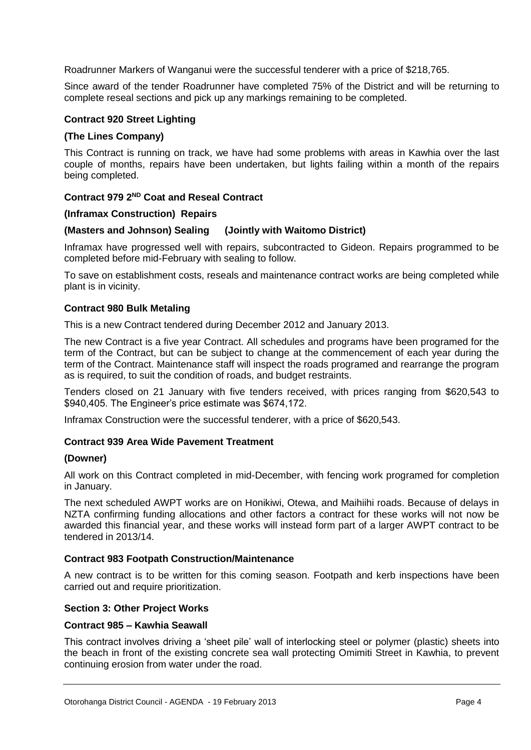Roadrunner Markers of Wanganui were the successful tenderer with a price of \$218,765.

Since award of the tender Roadrunner have completed 75% of the District and will be returning to complete reseal sections and pick up any markings remaining to be completed.

#### **Contract 920 Street Lighting**

#### **(The Lines Company)**

This Contract is running on track, we have had some problems with areas in Kawhia over the last couple of months, repairs have been undertaken, but lights failing within a month of the repairs being completed.

#### **Contract 979 2ND Coat and Reseal Contract**

#### **(Inframax Construction) Repairs**

#### **(Masters and Johnson) Sealing (Jointly with Waitomo District)**

Inframax have progressed well with repairs, subcontracted to Gideon. Repairs programmed to be completed before mid-February with sealing to follow.

To save on establishment costs, reseals and maintenance contract works are being completed while plant is in vicinity.

#### **Contract 980 Bulk Metaling**

This is a new Contract tendered during December 2012 and January 2013.

The new Contract is a five year Contract. All schedules and programs have been programed for the term of the Contract, but can be subject to change at the commencement of each year during the term of the Contract. Maintenance staff will inspect the roads programed and rearrange the program as is required, to suit the condition of roads, and budget restraints.

Tenders closed on 21 January with five tenders received, with prices ranging from \$620,543 to \$940,405. The Engineer's price estimate was \$674,172.

Inframax Construction were the successful tenderer, with a price of \$620,543.

#### **Contract 939 Area Wide Pavement Treatment**

#### **(Downer)**

All work on this Contract completed in mid-December, with fencing work programed for completion in January.

The next scheduled AWPT works are on Honikiwi, Otewa, and Maihiihi roads. Because of delays in NZTA confirming funding allocations and other factors a contract for these works will not now be awarded this financial year, and these works will instead form part of a larger AWPT contract to be tendered in 2013/14.

#### **Contract 983 Footpath Construction/Maintenance**

A new contract is to be written for this coming season. Footpath and kerb inspections have been carried out and require prioritization.

#### **Section 3: Other Project Works**

#### **Contract 985 – Kawhia Seawall**

This contract involves driving a 'sheet pile' wall of interlocking steel or polymer (plastic) sheets into the beach in front of the existing concrete sea wall protecting Omimiti Street in Kawhia, to prevent continuing erosion from water under the road.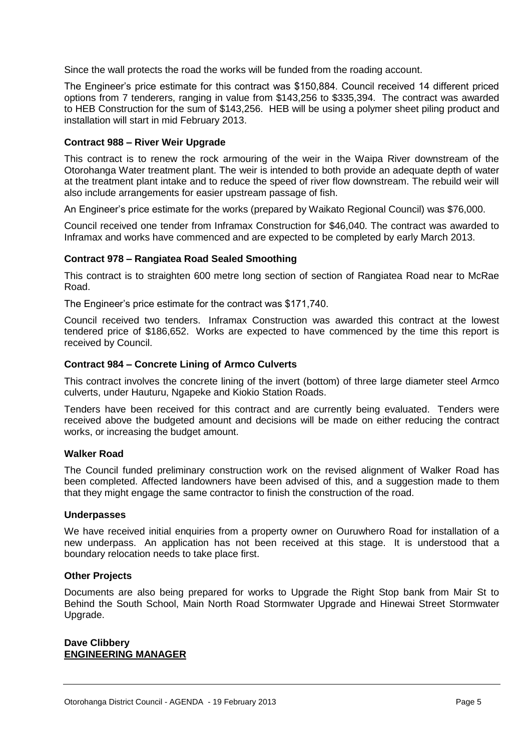Since the wall protects the road the works will be funded from the roading account.

The Engineer's price estimate for this contract was \$150,884. Council received 14 different priced options from 7 tenderers, ranging in value from \$143,256 to \$335,394. The contract was awarded to HEB Construction for the sum of \$143,256. HEB will be using a polymer sheet piling product and installation will start in mid February 2013.

#### **Contract 988 – River Weir Upgrade**

This contract is to renew the rock armouring of the weir in the Waipa River downstream of the Otorohanga Water treatment plant. The weir is intended to both provide an adequate depth of water at the treatment plant intake and to reduce the speed of river flow downstream. The rebuild weir will also include arrangements for easier upstream passage of fish.

An Engineer's price estimate for the works (prepared by Waikato Regional Council) was \$76,000.

Council received one tender from Inframax Construction for \$46,040. The contract was awarded to Inframax and works have commenced and are expected to be completed by early March 2013.

#### **Contract 978 – Rangiatea Road Sealed Smoothing**

This contract is to straighten 600 metre long section of section of Rangiatea Road near to McRae Road.

The Engineer's price estimate for the contract was \$171,740.

Council received two tenders. Inframax Construction was awarded this contract at the lowest tendered price of \$186,652. Works are expected to have commenced by the time this report is received by Council.

#### **Contract 984 – Concrete Lining of Armco Culverts**

This contract involves the concrete lining of the invert (bottom) of three large diameter steel Armco culverts, under Hauturu, Ngapeke and Kiokio Station Roads.

Tenders have been received for this contract and are currently being evaluated. Tenders were received above the budgeted amount and decisions will be made on either reducing the contract works, or increasing the budget amount.

#### **Walker Road**

The Council funded preliminary construction work on the revised alignment of Walker Road has been completed. Affected landowners have been advised of this, and a suggestion made to them that they might engage the same contractor to finish the construction of the road.

#### **Underpasses**

We have received initial enquiries from a property owner on Ouruwhero Road for installation of a new underpass. An application has not been received at this stage. It is understood that a boundary relocation needs to take place first.

#### **Other Projects**

Documents are also being prepared for works to Upgrade the Right Stop bank from Mair St to Behind the South School, Main North Road Stormwater Upgrade and Hinewai Street Stormwater Upgrade.

#### **Dave Clibbery ENGINEERING MANAGER**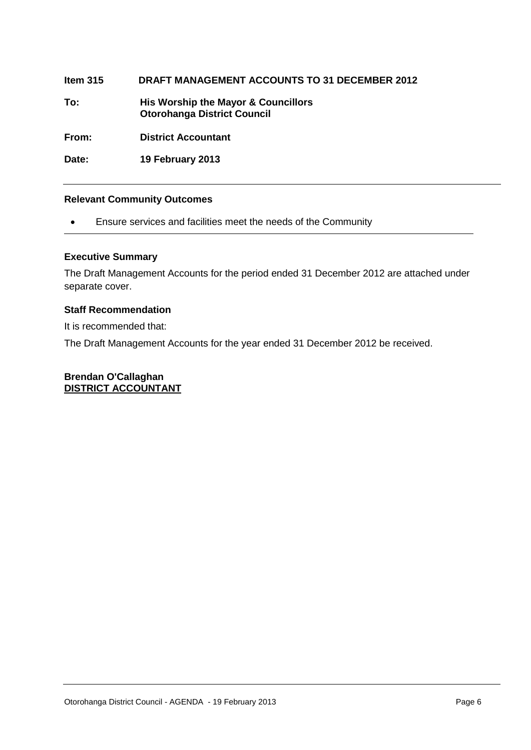**Item 315 DRAFT MANAGEMENT ACCOUNTS TO 31 DECEMBER 2012**

**To: His Worship the Mayor & Councillors Otorohanga District Council**

**From: District Accountant**

**Date: 19 February 2013**

#### **Relevant Community Outcomes**

Ensure services and facilities meet the needs of the Community

#### **Executive Summary**

The Draft Management Accounts for the period ended 31 December 2012 are attached under separate cover.

#### **Staff Recommendation**

It is recommended that:

The Draft Management Accounts for the year ended 31 December 2012 be received.

#### **Brendan O'Callaghan DISTRICT ACCOUNTANT**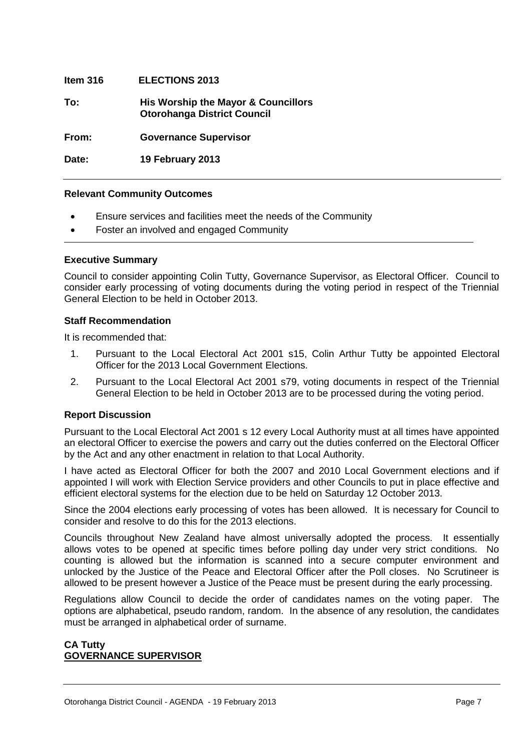| Item $316$ | <b>ELECTIONS 2013</b>                                                     |
|------------|---------------------------------------------------------------------------|
| To:        | His Worship the Mayor & Councillors<br><b>Otorohanga District Council</b> |
| From:      | <b>Governance Supervisor</b>                                              |
| Date:      | 19 February 2013                                                          |

#### **Relevant Community Outcomes**

- Ensure services and facilities meet the needs of the Community
- Foster an involved and engaged Community

#### **Executive Summary**

Council to consider appointing Colin Tutty, Governance Supervisor, as Electoral Officer. Council to consider early processing of voting documents during the voting period in respect of the Triennial General Election to be held in October 2013.

#### **Staff Recommendation**

It is recommended that:

- 1. Pursuant to the Local Electoral Act 2001 s15, Colin Arthur Tutty be appointed Electoral Officer for the 2013 Local Government Elections.
- 2. Pursuant to the Local Electoral Act 2001 s79, voting documents in respect of the Triennial General Election to be held in October 2013 are to be processed during the voting period.

#### **Report Discussion**

Pursuant to the Local Electoral Act 2001 s 12 every Local Authority must at all times have appointed an electoral Officer to exercise the powers and carry out the duties conferred on the Electoral Officer by the Act and any other enactment in relation to that Local Authority.

I have acted as Electoral Officer for both the 2007 and 2010 Local Government elections and if appointed I will work with Election Service providers and other Councils to put in place effective and efficient electoral systems for the election due to be held on Saturday 12 October 2013.

Since the 2004 elections early processing of votes has been allowed. It is necessary for Council to consider and resolve to do this for the 2013 elections.

Councils throughout New Zealand have almost universally adopted the process. It essentially allows votes to be opened at specific times before polling day under very strict conditions. No counting is allowed but the information is scanned into a secure computer environment and unlocked by the Justice of the Peace and Electoral Officer after the Poll closes. No Scrutineer is allowed to be present however a Justice of the Peace must be present during the early processing.

Regulations allow Council to decide the order of candidates names on the voting paper. The options are alphabetical, pseudo random, random. In the absence of any resolution, the candidates must be arranged in alphabetical order of surname.

#### **CA Tutty GOVERNANCE SUPERVISOR**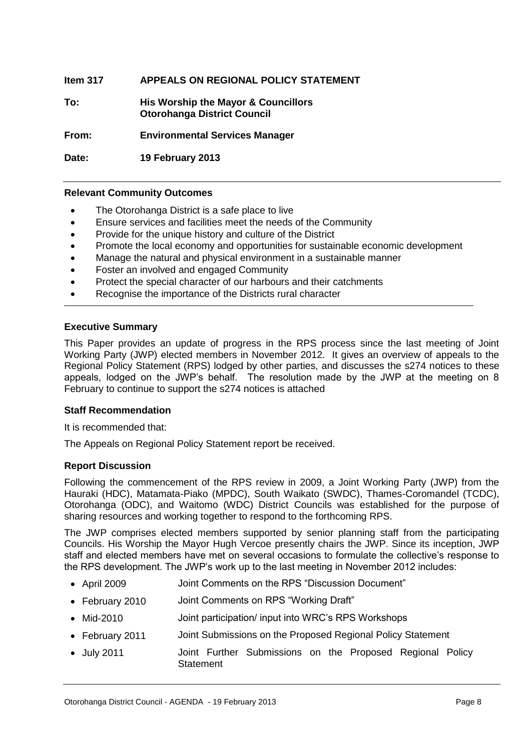| Item 317 | APPEALS ON REGIONAL POLICY STATEMENT                                      |
|----------|---------------------------------------------------------------------------|
| To:      | His Worship the Mayor & Councillors<br><b>Otorohanga District Council</b> |
| From:    | <b>Environmental Services Manager</b>                                     |
| Date:    | 19 February 2013                                                          |

#### **Relevant Community Outcomes**

- The Otorohanga District is a safe place to live
- Ensure services and facilities meet the needs of the Community
- Provide for the unique history and culture of the District
- Promote the local economy and opportunities for sustainable economic development
- Manage the natural and physical environment in a sustainable manner
- Foster an involved and engaged Community
- Protect the special character of our harbours and their catchments
- Recognise the importance of the Districts rural character

#### **Executive Summary**

This Paper provides an update of progress in the RPS process since the last meeting of Joint Working Party (JWP) elected members in November 2012. It gives an overview of appeals to the Regional Policy Statement (RPS) lodged by other parties, and discusses the s274 notices to these appeals, lodged on the JWP's behalf. The resolution made by the JWP at the meeting on 8 February to continue to support the s274 notices is attached

#### **Staff Recommendation**

It is recommended that:

The Appeals on Regional Policy Statement report be received.

#### **Report Discussion**

Following the commencement of the RPS review in 2009, a Joint Working Party (JWP) from the Hauraki (HDC), Matamata-Piako (MPDC), South Waikato (SWDC), Thames-Coromandel (TCDC), Otorohanga (ODC), and Waitomo (WDC) District Councils was established for the purpose of sharing resources and working together to respond to the forthcoming RPS.

The JWP comprises elected members supported by senior planning staff from the participating Councils. His Worship the Mayor Hugh Vercoe presently chairs the JWP. Since its inception, JWP staff and elected members have met on several occasions to formulate the collective's response to the RPS development. The JWP's work up to the last meeting in November 2012 includes:

- April 2009 Joint Comments on the RPS "Discussion Document"
- February 2010 Joint Comments on RPS "Working Draft"
- Mid-2010 Joint participation/ input into WRC's RPS Workshops
- February 2011 Joint Submissions on the Proposed Regional Policy Statement
- July 2011 Joint Further Submissions on the Proposed Regional Policy **Statement**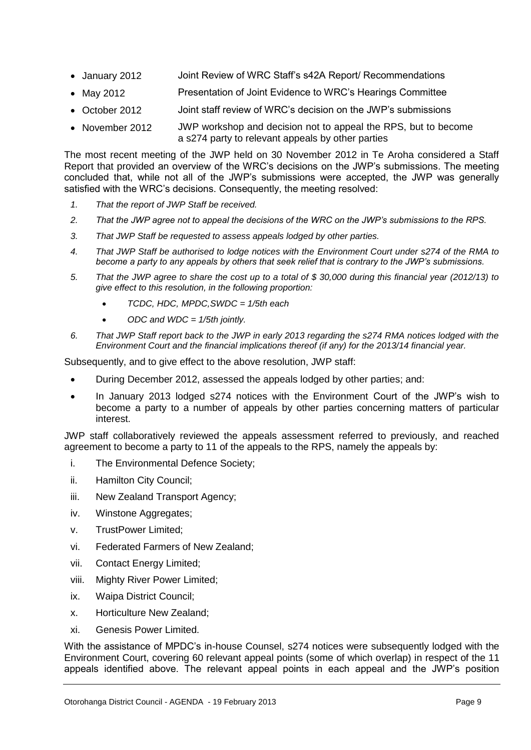- January 2012 Joint Review of WRC Staff's s42A Report/ Recommendations
- May 2012 **Presentation of Joint Evidence to WRC's Hearings Committee**
- October 2012 Joint staff review of WRC's decision on the JWP's submissions
- November 2012 JWP workshop and decision not to appeal the RPS, but to become a s274 party to relevant appeals by other parties

The most recent meeting of the JWP held on 30 November 2012 in Te Aroha considered a Staff Report that provided an overview of the WRC's decisions on the JWP's submissions. The meeting concluded that, while not all of the JWP's submissions were accepted, the JWP was generally satisfied with the WRC's decisions. Consequently, the meeting resolved:

- *1. That the report of JWP Staff be received.*
- *2. That the JWP agree not to appeal the decisions of the WRC on the JWP's submissions to the RPS.*
- *3. That JWP Staff be requested to assess appeals lodged by other parties.*
- *4. That JWP Staff be authorised to lodge notices with the Environment Court under s274 of the RMA to become a party to any appeals by others that seek relief that is contrary to the JWP's submissions.*
- *5. That the JWP agree to share the cost up to a total of \$ 30,000 during this financial year (2012/13) to give effect to this resolution, in the following proportion:*
	- *TCDC, HDC, MPDC,SWDC = 1/5th each*
	- *ODC and WDC = 1/5th jointly.*
- *6. That JWP Staff report back to the JWP in early 2013 regarding the s274 RMA notices lodged with the Environment Court and the financial implications thereof (if any) for the 2013/14 financial year.*

Subsequently, and to give effect to the above resolution, JWP staff:

- During December 2012, assessed the appeals lodged by other parties; and:
- In January 2013 lodged s274 notices with the Environment Court of the JWP's wish to become a party to a number of appeals by other parties concerning matters of particular interest.

JWP staff collaboratively reviewed the appeals assessment referred to previously, and reached agreement to become a party to 11 of the appeals to the RPS, namely the appeals by:

- i. The Environmental Defence Society;
- ii. Hamilton City Council;
- iii. New Zealand Transport Agency;
- iv. Winstone Aggregates;
- v. TrustPower Limited;
- vi. Federated Farmers of New Zealand;
- vii. Contact Energy Limited;
- viii. Mighty River Power Limited;
- ix. Waipa District Council;
- x. Horticulture New Zealand;
- xi. Genesis Power Limited.

With the assistance of MPDC's in-house Counsel, s274 notices were subsequently lodged with the Environment Court, covering 60 relevant appeal points (some of which overlap) in respect of the 11 appeals identified above. The relevant appeal points in each appeal and the JWP's position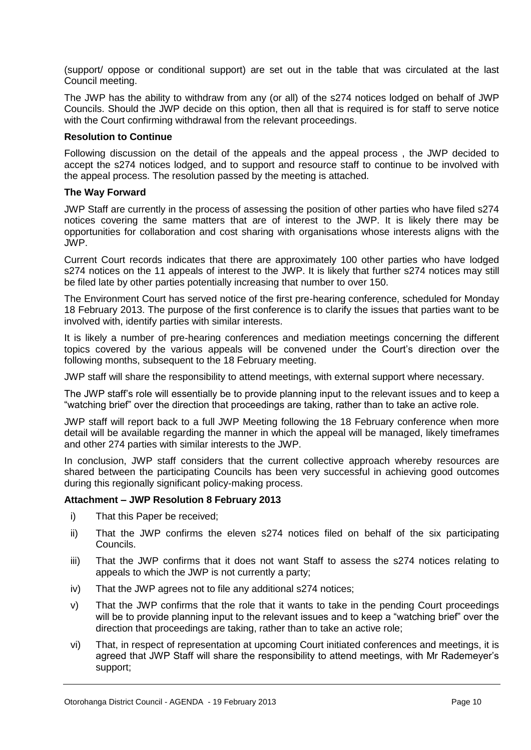(support/ oppose or conditional support) are set out in the table that was circulated at the last Council meeting.

The JWP has the ability to withdraw from any (or all) of the s274 notices lodged on behalf of JWP Councils. Should the JWP decide on this option, then all that is required is for staff to serve notice with the Court confirming withdrawal from the relevant proceedings.

#### **Resolution to Continue**

Following discussion on the detail of the appeals and the appeal process , the JWP decided to accept the s274 notices lodged, and to support and resource staff to continue to be involved with the appeal process. The resolution passed by the meeting is attached.

#### **The Way Forward**

JWP Staff are currently in the process of assessing the position of other parties who have filed s274 notices covering the same matters that are of interest to the JWP. It is likely there may be opportunities for collaboration and cost sharing with organisations whose interests aligns with the JWP.

Current Court records indicates that there are approximately 100 other parties who have lodged s274 notices on the 11 appeals of interest to the JWP. It is likely that further s274 notices may still be filed late by other parties potentially increasing that number to over 150.

The Environment Court has served notice of the first pre-hearing conference, scheduled for Monday 18 February 2013. The purpose of the first conference is to clarify the issues that parties want to be involved with, identify parties with similar interests.

It is likely a number of pre-hearing conferences and mediation meetings concerning the different topics covered by the various appeals will be convened under the Court's direction over the following months, subsequent to the 18 February meeting.

JWP staff will share the responsibility to attend meetings, with external support where necessary.

The JWP staff's role will essentially be to provide planning input to the relevant issues and to keep a "watching brief" over the direction that proceedings are taking, rather than to take an active role.

JWP staff will report back to a full JWP Meeting following the 18 February conference when more detail will be available regarding the manner in which the appeal will be managed, likely timeframes and other 274 parties with similar interests to the JWP.

In conclusion, JWP staff considers that the current collective approach whereby resources are shared between the participating Councils has been very successful in achieving good outcomes during this regionally significant policy-making process.

#### **Attachment – JWP Resolution 8 February 2013**

- i) That this Paper be received;
- ii) That the JWP confirms the eleven s274 notices filed on behalf of the six participating Councils.
- iii) That the JWP confirms that it does not want Staff to assess the s274 notices relating to appeals to which the JWP is not currently a party;
- iv) That the JWP agrees not to file any additional s274 notices;
- v) That the JWP confirms that the role that it wants to take in the pending Court proceedings will be to provide planning input to the relevant issues and to keep a "watching brief" over the direction that proceedings are taking, rather than to take an active role;
- vi) That, in respect of representation at upcoming Court initiated conferences and meetings, it is agreed that JWP Staff will share the responsibility to attend meetings, with Mr Rademeyer's support;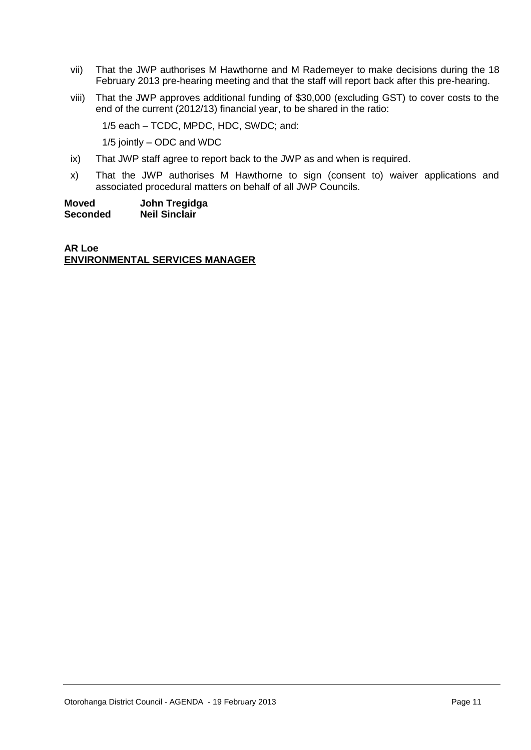- vii) That the JWP authorises M Hawthorne and M Rademeyer to make decisions during the 18 February 2013 pre-hearing meeting and that the staff will report back after this pre-hearing.
- viii) That the JWP approves additional funding of \$30,000 (excluding GST) to cover costs to the end of the current (2012/13) financial year, to be shared in the ratio:
	- 1/5 each TCDC, MPDC, HDC, SWDC; and:

1/5 jointly – ODC and WDC

- ix) That JWP staff agree to report back to the JWP as and when is required.
- x) That the JWP authorises M Hawthorne to sign (consent to) waiver applications and associated procedural matters on behalf of all JWP Councils.

**Moved John Tregidga Neil Sinclair** 

**AR Loe ENVIRONMENTAL SERVICES MANAGER**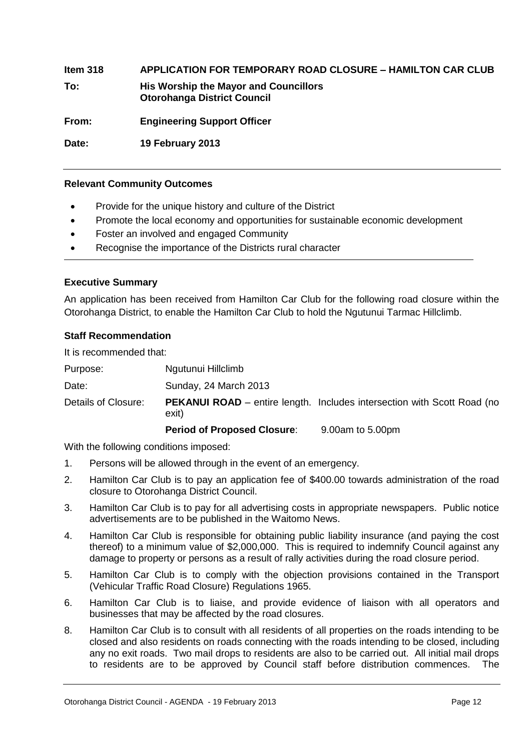**Item 318 APPLICATION FOR TEMPORARY ROAD CLOSURE – HAMILTON CAR CLUB To: His Worship the Mayor and Councillors Otorohanga District Council From: Engineering Support Officer Date: 19 February 2013**

#### **Relevant Community Outcomes**

- Provide for the unique history and culture of the District
- Promote the local economy and opportunities for sustainable economic development
- Foster an involved and engaged Community
- Recognise the importance of the Districts rural character

#### **Executive Summary**

An application has been received from Hamilton Car Club for the following road closure within the Otorohanga District, to enable the Hamilton Car Club to hold the Ngutunui Tarmac Hillclimb.

#### **Staff Recommendation**

It is recommended that:

Purpose: Ngutunui Hillclimb

Date: Sunday, 24 March 2013

Details of Closure: **PEKANUI ROAD** – entire length. Includes intersection with Scott Road (no exit)

**Period of Proposed Closure**: 9.00am to 5.00pm

With the following conditions imposed:

- 1. Persons will be allowed through in the event of an emergency.
- 2. Hamilton Car Club is to pay an application fee of \$400.00 towards administration of the road closure to Otorohanga District Council.
- 3. Hamilton Car Club is to pay for all advertising costs in appropriate newspapers. Public notice advertisements are to be published in the Waitomo News.
- 4. Hamilton Car Club is responsible for obtaining public liability insurance (and paying the cost thereof) to a minimum value of \$2,000,000. This is required to indemnify Council against any damage to property or persons as a result of rally activities during the road closure period.
- 5. Hamilton Car Club is to comply with the objection provisions contained in the Transport (Vehicular Traffic Road Closure) Regulations 1965.
- 6. Hamilton Car Club is to liaise, and provide evidence of liaison with all operators and businesses that may be affected by the road closures.
- 8. Hamilton Car Club is to consult with all residents of all properties on the roads intending to be closed and also residents on roads connecting with the roads intending to be closed, including any no exit roads. Two mail drops to residents are also to be carried out. All initial mail drops to residents are to be approved by Council staff before distribution commences. The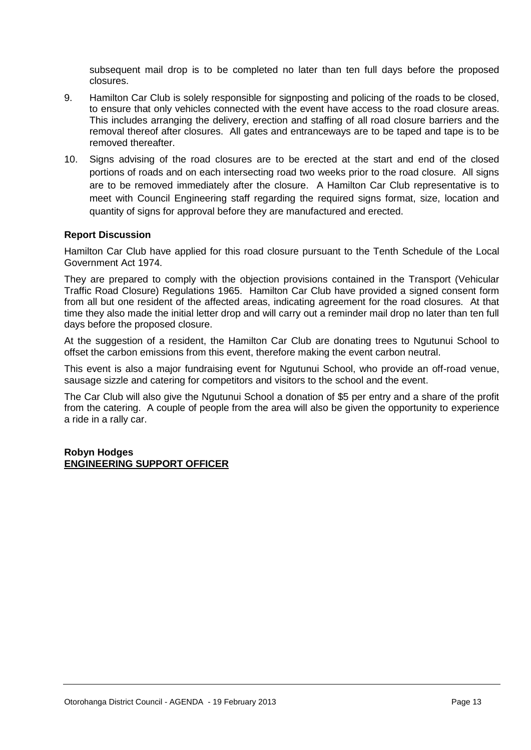subsequent mail drop is to be completed no later than ten full days before the proposed closures.

- 9. Hamilton Car Club is solely responsible for signposting and policing of the roads to be closed, to ensure that only vehicles connected with the event have access to the road closure areas. This includes arranging the delivery, erection and staffing of all road closure barriers and the removal thereof after closures. All gates and entranceways are to be taped and tape is to be removed thereafter.
- 10. Signs advising of the road closures are to be erected at the start and end of the closed portions of roads and on each intersecting road two weeks prior to the road closure. All signs are to be removed immediately after the closure. A Hamilton Car Club representative is to meet with Council Engineering staff regarding the required signs format, size, location and quantity of signs for approval before they are manufactured and erected.

#### **Report Discussion**

Hamilton Car Club have applied for this road closure pursuant to the Tenth Schedule of the Local Government Act 1974.

They are prepared to comply with the objection provisions contained in the Transport (Vehicular Traffic Road Closure) Regulations 1965. Hamilton Car Club have provided a signed consent form from all but one resident of the affected areas, indicating agreement for the road closures. At that time they also made the initial letter drop and will carry out a reminder mail drop no later than ten full days before the proposed closure.

At the suggestion of a resident, the Hamilton Car Club are donating trees to Ngutunui School to offset the carbon emissions from this event, therefore making the event carbon neutral.

This event is also a major fundraising event for Ngutunui School, who provide an off-road venue, sausage sizzle and catering for competitors and visitors to the school and the event.

The Car Club will also give the Ngutunui School a donation of \$5 per entry and a share of the profit from the catering. A couple of people from the area will also be given the opportunity to experience a ride in a rally car.

#### **Robyn Hodges ENGINEERING SUPPORT OFFICER**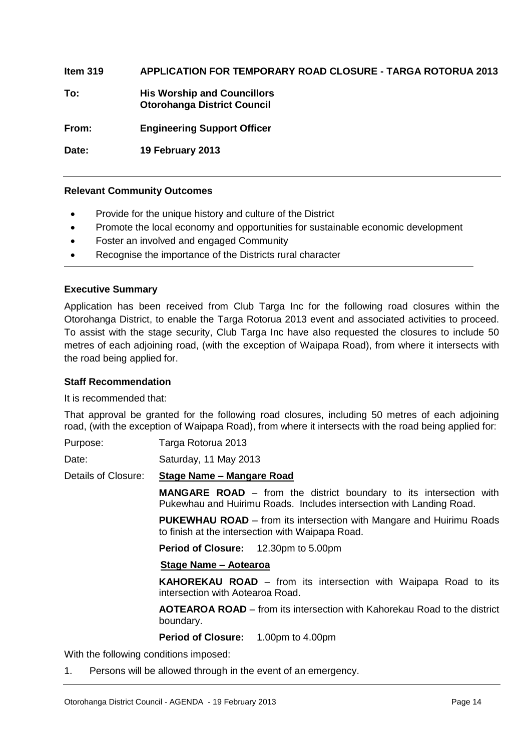**Item 319 APPLICATION FOR TEMPORARY ROAD CLOSURE - TARGA ROTORUA 2013 To: His Worship and Councillors Otorohanga District Council From: Engineering Support Officer Date: 19 February 2013** 

#### **Relevant Community Outcomes**

- Provide for the unique history and culture of the District
- Promote the local economy and opportunities for sustainable economic development
- Foster an involved and engaged Community
- Recognise the importance of the Districts rural character

#### **Executive Summary**

Application has been received from Club Targa Inc for the following road closures within the Otorohanga District, to enable the Targa Rotorua 2013 event and associated activities to proceed. To assist with the stage security, Club Targa Inc have also requested the closures to include 50 metres of each adjoining road, (with the exception of Waipapa Road), from where it intersects with the road being applied for.

#### **Staff Recommendation**

It is recommended that:

That approval be granted for the following road closures, including 50 metres of each adjoining road, (with the exception of Waipapa Road), from where it intersects with the road being applied for:

Purpose: Targa Rotorua 2013

Date: Saturday, 11 May 2013

Details of Closure: **Stage Name – Mangare Road**

**MANGARE ROAD** – from the district boundary to its intersection with Pukewhau and Huirimu Roads. Includes intersection with Landing Road.

**PUKEWHAU ROAD** – from its intersection with Mangare and Huirimu Roads to finish at the intersection with Waipapa Road.

**Period of Closure:** 12.30pm to 5.00pm

#### **Stage Name – Aotearoa**

**KAHOREKAU ROAD** – from its intersection with Waipapa Road to its intersection with Aotearoa Road.

**AOTEAROA ROAD** – from its intersection with Kahorekau Road to the district boundary.

#### **Period of Closure:** 1.00pm to 4.00pm

With the following conditions imposed:

1. Persons will be allowed through in the event of an emergency.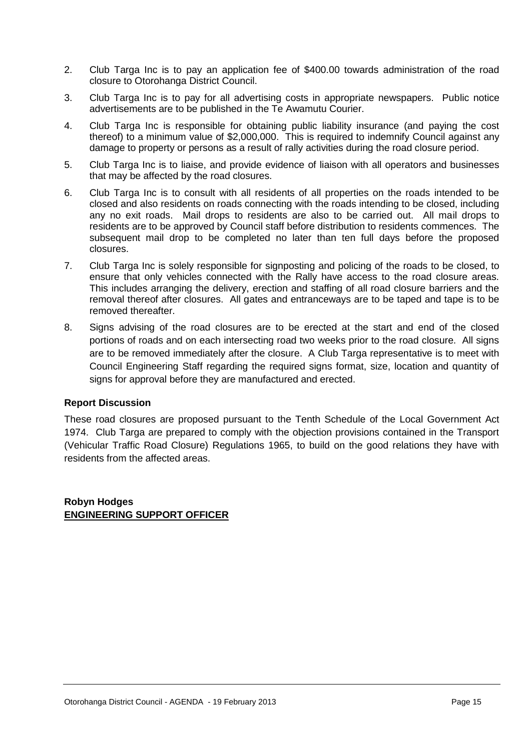- 2. Club Targa Inc is to pay an application fee of \$400.00 towards administration of the road closure to Otorohanga District Council.
- 3. Club Targa Inc is to pay for all advertising costs in appropriate newspapers. Public notice advertisements are to be published in the Te Awamutu Courier.
- 4. Club Targa Inc is responsible for obtaining public liability insurance (and paying the cost thereof) to a minimum value of \$2,000,000. This is required to indemnify Council against any damage to property or persons as a result of rally activities during the road closure period.
- 5. Club Targa Inc is to liaise, and provide evidence of liaison with all operators and businesses that may be affected by the road closures.
- 6. Club Targa Inc is to consult with all residents of all properties on the roads intended to be closed and also residents on roads connecting with the roads intending to be closed, including any no exit roads. Mail drops to residents are also to be carried out. All mail drops to residents are to be approved by Council staff before distribution to residents commences. The subsequent mail drop to be completed no later than ten full days before the proposed closures.
- 7. Club Targa Inc is solely responsible for signposting and policing of the roads to be closed, to ensure that only vehicles connected with the Rally have access to the road closure areas. This includes arranging the delivery, erection and staffing of all road closure barriers and the removal thereof after closures. All gates and entranceways are to be taped and tape is to be removed thereafter.
- 8. Signs advising of the road closures are to be erected at the start and end of the closed portions of roads and on each intersecting road two weeks prior to the road closure. All signs are to be removed immediately after the closure. A Club Targa representative is to meet with Council Engineering Staff regarding the required signs format, size, location and quantity of signs for approval before they are manufactured and erected.

#### **Report Discussion**

These road closures are proposed pursuant to the Tenth Schedule of the Local Government Act 1974. Club Targa are prepared to comply with the objection provisions contained in the Transport (Vehicular Traffic Road Closure) Regulations 1965, to build on the good relations they have with residents from the affected areas.

**Robyn Hodges ENGINEERING SUPPORT OFFICER**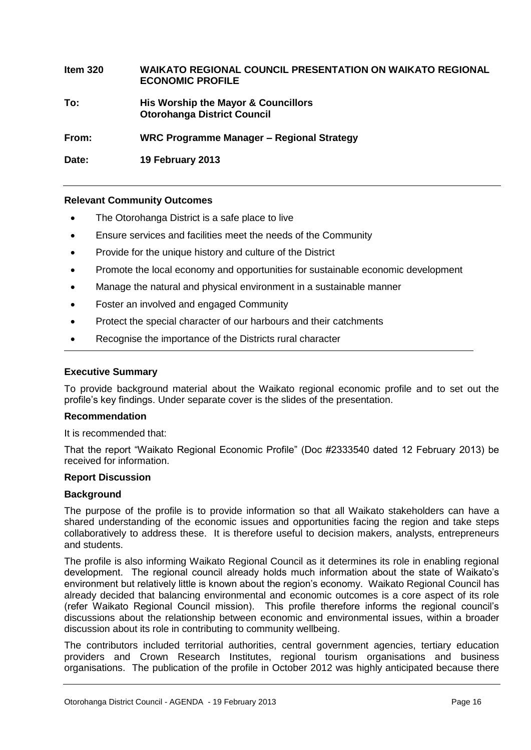#### **Item 320 WAIKATO REGIONAL COUNCIL PRESENTATION ON WAIKATO REGIONAL ECONOMIC PROFILE**

**To: His Worship the Mayor & Councillors Otorohanga District Council**

**From: WRC Programme Manager – Regional Strategy**

**Date: 19 February 2013**

#### **Relevant Community Outcomes**

- The Otorohanga District is a safe place to live
- Ensure services and facilities meet the needs of the Community
- Provide for the unique history and culture of the District
- Promote the local economy and opportunities for sustainable economic development
- Manage the natural and physical environment in a sustainable manner
- Foster an involved and engaged Community
- Protect the special character of our harbours and their catchments
- Recognise the importance of the Districts rural character

#### **Executive Summary**

To provide background material about the Waikato regional economic profile and to set out the profile's key findings. Under separate cover is the slides of the presentation.

#### **Recommendation**

It is recommended that:

That the report "Waikato Regional Economic Profile" (Doc #2333540 dated 12 February 2013) be received for information.

#### **Report Discussion**

#### **Background**

The purpose of the profile is to provide information so that all Waikato stakeholders can have a shared understanding of the economic issues and opportunities facing the region and take steps collaboratively to address these. It is therefore useful to decision makers, analysts, entrepreneurs and students.

The profile is also informing Waikato Regional Council as it determines its role in enabling regional development. The regional council already holds much information about the state of Waikato's environment but relatively little is known about the region's economy. Waikato Regional Council has already decided that balancing environmental and economic outcomes is a core aspect of its role (refer Waikato Regional Council mission). This profile therefore informs the regional council's discussions about the relationship between economic and environmental issues, within a broader discussion about its role in contributing to community wellbeing.

The contributors included territorial authorities, central government agencies, tertiary education providers and Crown Research Institutes, regional tourism organisations and business organisations. The publication of the profile in October 2012 was highly anticipated because there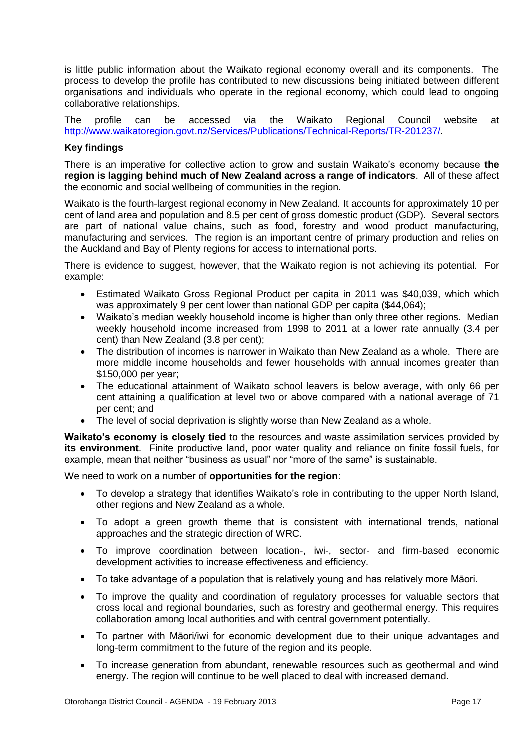is little public information about the Waikato regional economy overall and its components. The process to develop the profile has contributed to new discussions being initiated between different organisations and individuals who operate in the regional economy, which could lead to ongoing collaborative relationships.

The profile can be accessed via the Waikato Regional Council website at [http://www.waikatoregion.govt.nz/Services/Publications/Technical-Reports/TR-201237/.](http://www.waikatoregion.govt.nz/Services/Publications/Technical-Reports/TR-201237/)

#### **Key findings**

There is an imperative for collective action to grow and sustain Waikato's economy because **the region is lagging behind much of New Zealand across a range of indicators**. All of these affect the economic and social wellbeing of communities in the region.

Waikato is the fourth-largest regional economy in New Zealand. It accounts for approximately 10 per cent of land area and population and 8.5 per cent of gross domestic product (GDP). Several sectors are part of national value chains, such as food, forestry and wood product manufacturing, manufacturing and services. The region is an important centre of primary production and relies on the Auckland and Bay of Plenty regions for access to international ports.

There is evidence to suggest, however, that the Waikato region is not achieving its potential. For example:

- Estimated Waikato Gross Regional Product per capita in 2011 was \$40,039, which which was approximately 9 per cent lower than national GDP per capita (\$44,064);
- Waikato's median weekly household income is higher than only three other regions. Median weekly household income increased from 1998 to 2011 at a lower rate annually (3.4 per cent) than New Zealand (3.8 per cent);
- The distribution of incomes is narrower in Waikato than New Zealand as a whole. There are more middle income households and fewer households with annual incomes greater than \$150,000 per year;
- The educational attainment of Waikato school leavers is below average, with only 66 per cent attaining a qualification at level two or above compared with a national average of 71 per cent; and
- The level of social deprivation is slightly worse than New Zealand as a whole.

**Waikato's economy is closely tied** to the resources and waste assimilation services provided by **its environment**. Finite productive land, poor water quality and reliance on finite fossil fuels, for example, mean that neither "business as usual" nor "more of the same" is sustainable.

We need to work on a number of **opportunities for the region**:

- To develop a strategy that identifies Waikato's role in contributing to the upper North Island, other regions and New Zealand as a whole.
- To adopt a green growth theme that is consistent with international trends, national approaches and the strategic direction of WRC.
- To improve coordination between location-, iwi-, sector- and firm-based economic development activities to increase effectiveness and efficiency.
- To take advantage of a population that is relatively young and has relatively more Māori.
- To improve the quality and coordination of regulatory processes for valuable sectors that cross local and regional boundaries, such as forestry and geothermal energy. This requires collaboration among local authorities and with central government potentially.
- To partner with Māori/iwi for economic development due to their unique advantages and long-term commitment to the future of the region and its people.
- To increase generation from abundant, renewable resources such as geothermal and wind energy. The region will continue to be well placed to deal with increased demand.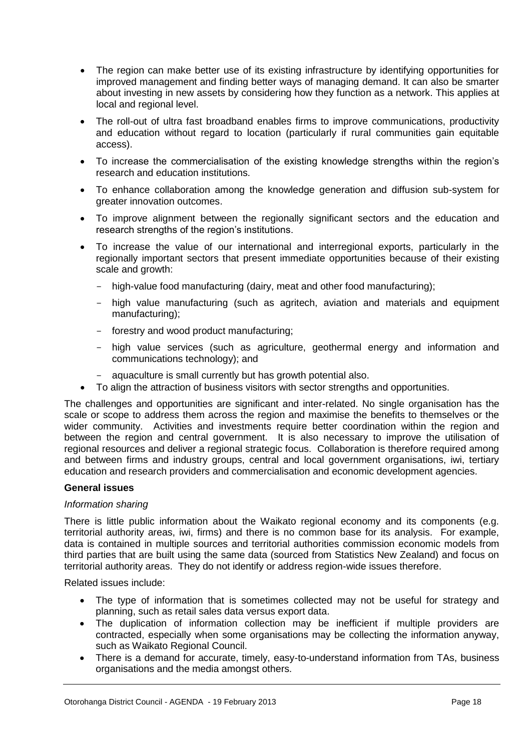- The region can make better use of its existing infrastructure by identifying opportunities for improved management and finding better ways of managing demand. It can also be smarter about investing in new assets by considering how they function as a network. This applies at local and regional level.
- The roll-out of ultra fast broadband enables firms to improve communications, productivity and education without regard to location (particularly if rural communities gain equitable access).
- To increase the commercialisation of the existing knowledge strengths within the region's research and education institutions.
- To enhance collaboration among the knowledge generation and diffusion sub-system for greater innovation outcomes.
- To improve alignment between the regionally significant sectors and the education and research strengths of the region's institutions.
- To increase the value of our international and interregional exports, particularly in the regionally important sectors that present immediate opportunities because of their existing scale and growth:
	- high-value food manufacturing (dairy, meat and other food manufacturing);
	- high value manufacturing (such as agritech, aviation and materials and equipment manufacturing);
	- forestry and wood product manufacturing;
	- high value services (such as agriculture, geothermal energy and information and communications technology); and
	- aquaculture is small currently but has growth potential also.
- To align the attraction of business visitors with sector strengths and opportunities.

The challenges and opportunities are significant and inter-related. No single organisation has the scale or scope to address them across the region and maximise the benefits to themselves or the wider community. Activities and investments require better coordination within the region and between the region and central government. It is also necessary to improve the utilisation of regional resources and deliver a regional strategic focus. Collaboration is therefore required among and between firms and industry groups, central and local government organisations, iwi, tertiary education and research providers and commercialisation and economic development agencies.

#### **General issues**

#### *Information sharing*

There is little public information about the Waikato regional economy and its components (e.g. territorial authority areas, iwi, firms) and there is no common base for its analysis. For example, data is contained in multiple sources and territorial authorities commission economic models from third parties that are built using the same data (sourced from Statistics New Zealand) and focus on territorial authority areas. They do not identify or address region-wide issues therefore.

Related issues include:

- The type of information that is sometimes collected may not be useful for strategy and planning, such as retail sales data versus export data.
- The duplication of information collection may be inefficient if multiple providers are contracted, especially when some organisations may be collecting the information anyway, such as Waikato Regional Council.
- There is a demand for accurate, timely, easy-to-understand information from TAs, business organisations and the media amongst others.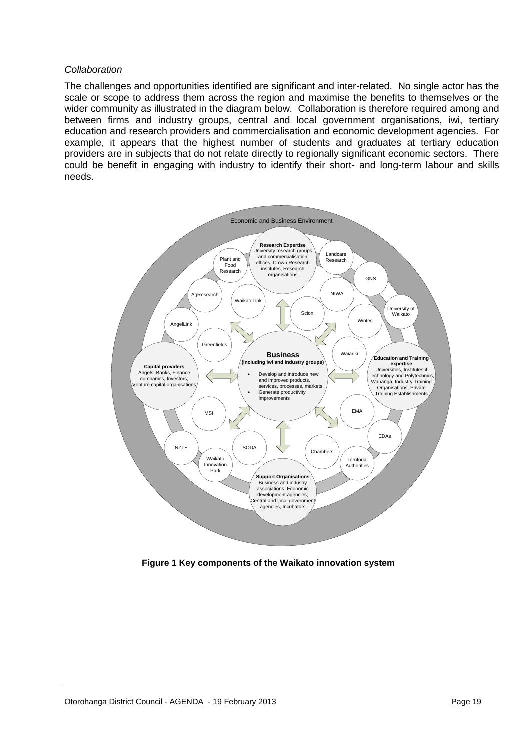#### *Collaboration*

The challenges and opportunities identified are significant and inter-related. No single actor has the scale or scope to address them across the region and maximise the benefits to themselves or the wider community as illustrated in the diagram below. Collaboration is therefore required among and between firms and industry groups, central and local government organisations, iwi, tertiary education and research providers and commercialisation and economic development agencies. For example, it appears that the highest number of students and graduates at tertiary education providers are in subjects that do not relate directly to regionally significant economic sectors. There could be benefit in engaging with industry to identify their short- and long-term labour and skills needs.



 **Figure 1 Key components of the Waikato innovation system**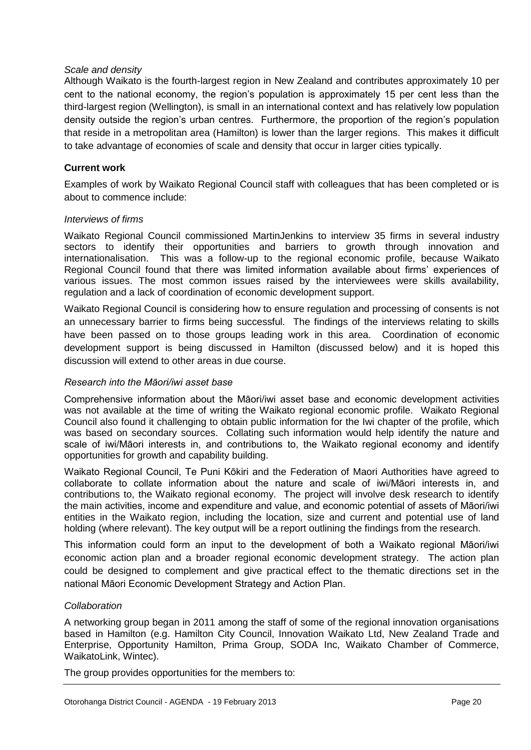#### *Scale and density*

Although Waikato is the fourth-largest region in New Zealand and contributes approximately 10 per cent to the national economy, the region's population is approximately 15 per cent less than the third-largest region (Wellington), is small in an international context and has relatively low population density outside the region's urban centres. Furthermore, the proportion of the region's population that reside in a metropolitan area (Hamilton) is lower than the larger regions. This makes it difficult to take advantage of economies of scale and density that occur in larger cities typically.

#### **Current work**

Examples of work by Waikato Regional Council staff with colleagues that has been completed or is about to commence include:

#### *Interviews of firms*

Waikato Regional Council commissioned MartinJenkins to interview 35 firms in several industry sectors to identify their opportunities and barriers to growth through innovation and internationalisation. This was a follow-up to the regional economic profile, because Waikato Regional Council found that there was limited information available about firms' experiences of various issues. The most common issues raised by the interviewees were skills availability, regulation and a lack of coordination of economic development support.

Waikato Regional Council is considering how to ensure regulation and processing of consents is not an unnecessary barrier to firms being successful. The findings of the interviews relating to skills have been passed on to those groups leading work in this area. Coordination of economic development support is being discussed in Hamilton (discussed below) and it is hoped this discussion will extend to other areas in due course.

#### *Research into the Māori/iwi asset base*

Comprehensive information about the Māori/iwi asset base and economic development activities was not available at the time of writing the Waikato regional economic profile. Waikato Regional Council also found it challenging to obtain public information for the Iwi chapter of the profile, which was based on secondary sources. Collating such information would help identify the nature and scale of iwi/Māori interests in, and contributions to, the Waikato regional economy and identify opportunities for growth and capability building.

Waikato Regional Council, Te Puni Kōkiri and the Federation of Maori Authorities have agreed to collaborate to collate information about the nature and scale of iwi/Māori interests in, and contributions to, the Waikato regional economy. The project will involve desk research to identify the main activities, income and expenditure and value, and economic potential of assets of Māori/iwi entities in the Waikato region, including the location, size and current and potential use of land holding (where relevant). The key output will be a report outlining the findings from the research.

This information could form an input to the development of both a Waikato regional Māori/iwi economic action plan and a broader regional economic development strategy. The action plan could be designed to complement and give practical effect to the thematic directions set in the national Māori Economic Development Strategy and Action Plan.

#### *Collaboration*

A networking group began in 2011 among the staff of some of the regional innovation organisations based in Hamilton (e.g. Hamilton City Council, Innovation Waikato Ltd, New Zealand Trade and Enterprise, Opportunity Hamilton, Prima Group, SODA Inc, Waikato Chamber of Commerce, WaikatoLink, Wintec).

The group provides opportunities for the members to: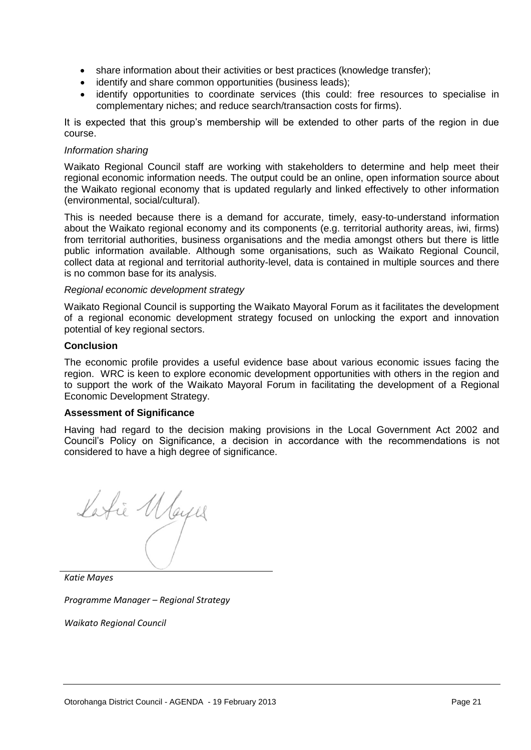- share information about their activities or best practices (knowledge transfer);
- identify and share common opportunities (business leads);
- identify opportunities to coordinate services (this could: free resources to specialise in complementary niches; and reduce search/transaction costs for firms).

It is expected that this group's membership will be extended to other parts of the region in due course.

#### *Information sharing*

Waikato Regional Council staff are working with stakeholders to determine and help meet their regional economic information needs. The output could be an online, open information source about the Waikato regional economy that is updated regularly and linked effectively to other information (environmental, social/cultural).

This is needed because there is a demand for accurate, timely, easy-to-understand information about the Waikato regional economy and its components (e.g. territorial authority areas, iwi, firms) from territorial authorities, business organisations and the media amongst others but there is little public information available. Although some organisations, such as Waikato Regional Council, collect data at regional and territorial authority-level, data is contained in multiple sources and there is no common base for its analysis.

#### *Regional economic development strategy*

Waikato Regional Council is supporting the Waikato Mayoral Forum as it facilitates the development of a regional economic development strategy focused on unlocking the export and innovation potential of key regional sectors.

#### **Conclusion**

The economic profile provides a useful evidence base about various economic issues facing the region. WRC is keen to explore economic development opportunities with others in the region and to support the work of the Waikato Mayoral Forum in facilitating the development of a Regional Economic Development Strategy.

#### **Assessment of Significance**

Having had regard to the decision making provisions in the Local Government Act 2002 and Council's Policy on Significance, a decision in accordance with the recommendations is not considered to have a high degree of significance.

Latie Mayer

*Katie Mayes*

*Programme Manager – Regional Strategy*

*Waikato Regional Council*